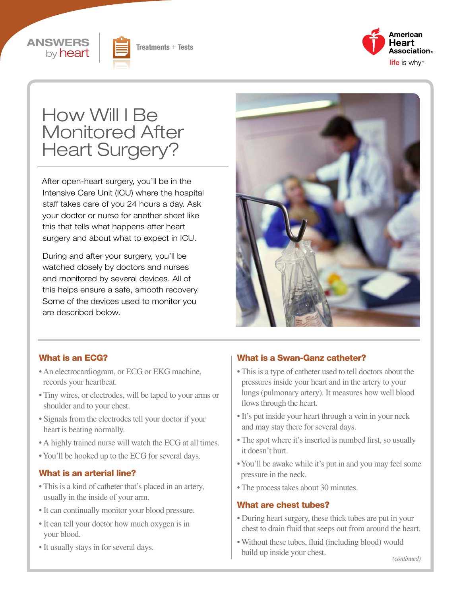





# How Will I Be Monitored After Heart Surgery?

After open-heart surgery, you'll be in the Intensive Care Unit (ICU) where the hospital staff takes care of you 24 hours a day. Ask your doctor or nurse for another sheet like this that tells what happens after heart surgery and about what to expect in ICU.

During and after your surgery, you'll be watched closely by doctors and nurses and monitored by several devices. All of this helps ensure a safe, smooth recovery. Some of the devices used to monitor you are described below.



#### What is an ECG?

- An electrocardiogram, or ECG or EKG machine, records your heartbeat.
- Tiny wires, or electrodes, will be taped to your arms or shoulder and to your chest.
- Signals from the electrodes tell your doctor if your heart is beating normally.
- A highly trained nurse will watch the ECG at all times.
- You'll be hooked up to the ECG for several days.

#### What is an arterial line?

- This is a kind of catheter that's placed in an artery, usually in the inside of your arm.
- It can continually monitor your blood pressure.
- It can tell your doctor how much oxygen is in your blood.
- It usually stays in for several days.

#### What is a Swan-Ganz catheter?

- This is a type of catheter used to tell doctors about the pressures inside your heart and in the artery to your lungs (pulmonary artery). It measures how well blood flows through the heart.
- It's put inside your heart through a vein in your neck and may stay there for several days.
- The spot where it's inserted is numbed first, so usually it doesn't hurt.
- You'll be awake while it's put in and you may feel some pressure in the neck.
- The process takes about 30 minutes.

#### What are chest tubes?

- During heart surgery, these thick tubes are put in your chest to drain fluid that seeps out from around the heart.
- Without these tubes, fluid (including blood) would build up inside your chest.